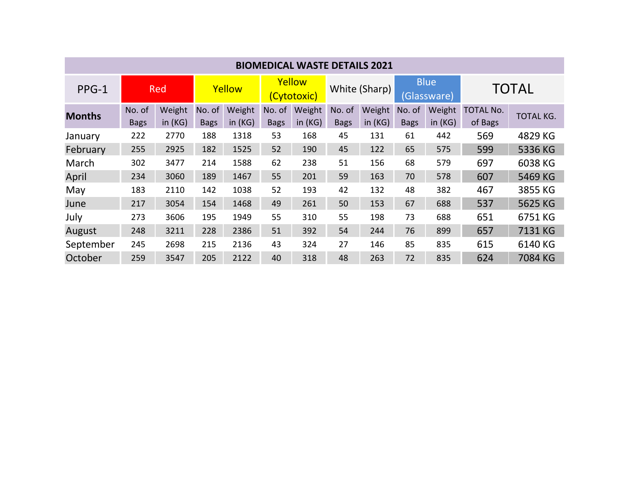| <b>BIOMEDICAL WASTE DETAILS 2021</b> |                       |                     |                       |                     |                       |                     |                       |                     |                            |                     |                             |                  |
|--------------------------------------|-----------------------|---------------------|-----------------------|---------------------|-----------------------|---------------------|-----------------------|---------------------|----------------------------|---------------------|-----------------------------|------------------|
| PPG-1                                | Red                   |                     | Yellow                |                     | Yellow<br>(Cytotoxic) |                     | White (Sharp)         |                     | <b>Blue</b><br>(Glassware) |                     | <b>TOTAL</b>                |                  |
| <b>Months</b>                        | No. of<br><b>Bags</b> | Weight<br>in $(KG)$ | No. of<br><b>Bags</b> | Weight<br>in $(KG)$ | No. of<br><b>Bags</b> | Weight<br>in $(KG)$ | No. of<br><b>Bags</b> | Weight<br>in $(KG)$ | No. of<br><b>Bags</b>      | Weight<br>in $(KG)$ | <b>TOTAL No.</b><br>of Bags | <b>TOTAL KG.</b> |
| January                              | 222                   | 2770                | 188                   | 1318                | 53                    | 168                 | 45                    | 131                 | 61                         | 442                 | 569                         | 4829 KG          |
| February                             | 255                   | 2925                | 182                   | 1525                | 52                    | 190                 | 45                    | 122                 | 65                         | 575                 | 599                         | 5336 KG          |
| March                                | 302                   | 3477                | 214                   | 1588                | 62                    | 238                 | 51                    | 156                 | 68                         | 579                 | 697                         | 6038 KG          |
| April                                | 234                   | 3060                | 189                   | 1467                | 55                    | 201                 | 59                    | 163                 | 70                         | 578                 | 607                         | 5469 KG          |
| May                                  | 183                   | 2110                | 142                   | 1038                | 52                    | 193                 | 42                    | 132                 | 48                         | 382                 | 467                         | 3855 KG          |
| June                                 | 217                   | 3054                | 154                   | 1468                | 49                    | 261                 | 50                    | 153                 | 67                         | 688                 | 537                         | 5625 KG          |
| July                                 | 273                   | 3606                | 195                   | 1949                | 55                    | 310                 | 55                    | 198                 | 73                         | 688                 | 651                         | 6751 KG          |
| August                               | 248                   | 3211                | 228                   | 2386                | 51                    | 392                 | 54                    | 244                 | 76                         | 899                 | 657                         | 7131 KG          |
| September                            | 245                   | 2698                | 215                   | 2136                | 43                    | 324                 | 27                    | 146                 | 85                         | 835                 | 615                         | 6140 KG          |
| October                              | 259                   | 3547                | 205                   | 2122                | 40                    | 318                 | 48                    | 263                 | 72                         | 835                 | 624                         | 7084 KG          |